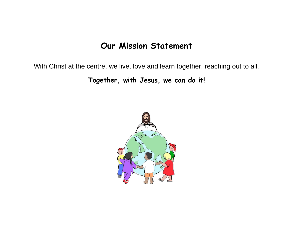## **Our Mission Statement**

With Christ at the centre, we live, love and learn together, reaching out to all.

**Together, with Jesus, we can do it!**